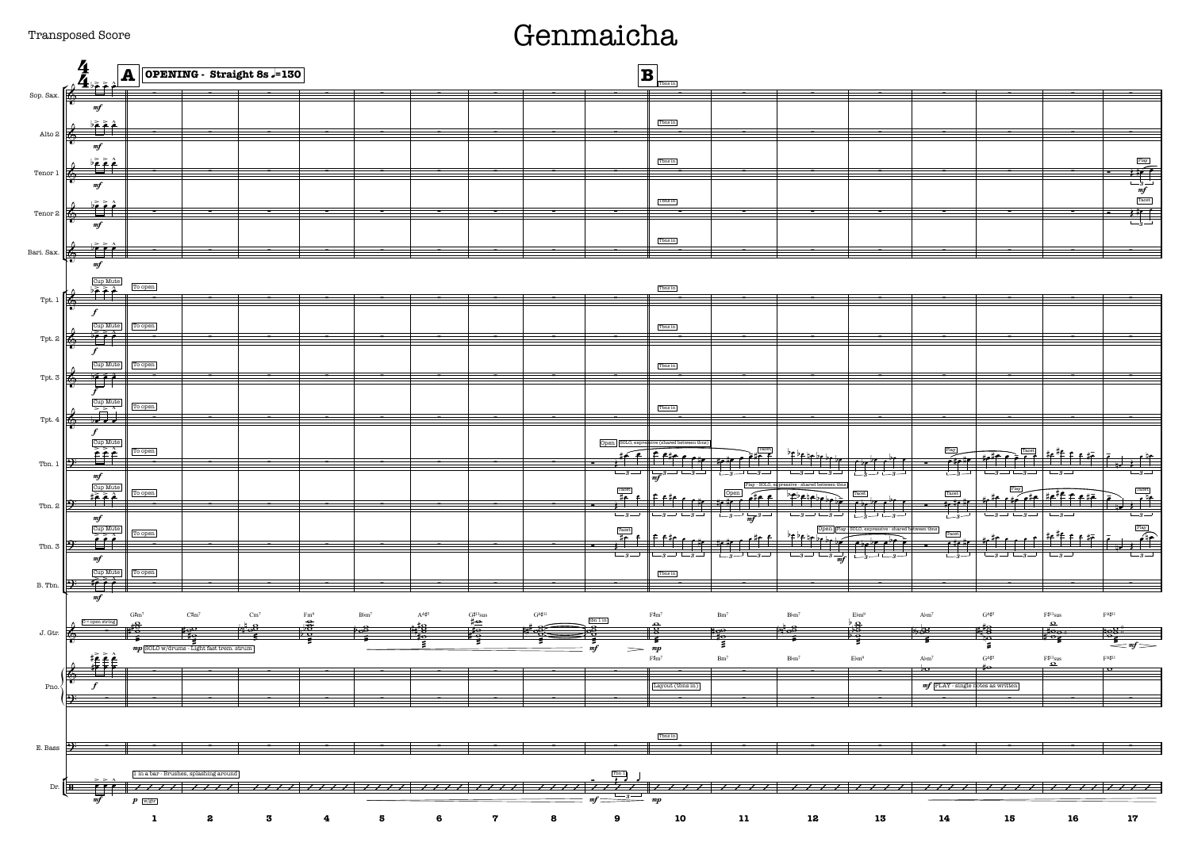Transposed Score



| $\mathbf{r}$ | ▬ | - | -                     |
|--------------|---|---|-----------------------|
|              |   |   |                       |
|              |   |   |                       |
| -            | ▬ | ▬ | -                     |
|              |   |   |                       |
|              |   |   | Play<br>π             |
| ▬            | Ξ | ▬ | -                     |
|              |   |   |                       |
|              |   |   | ₩                     |
|              |   |   | -3<br>$m\!f$<br>Tacet |
|              |   |   | п                     |
|              |   |   | 17                    |
|              |   |   | $-3-$                 |
| −            | - | - | -                     |
|              |   |   |                       |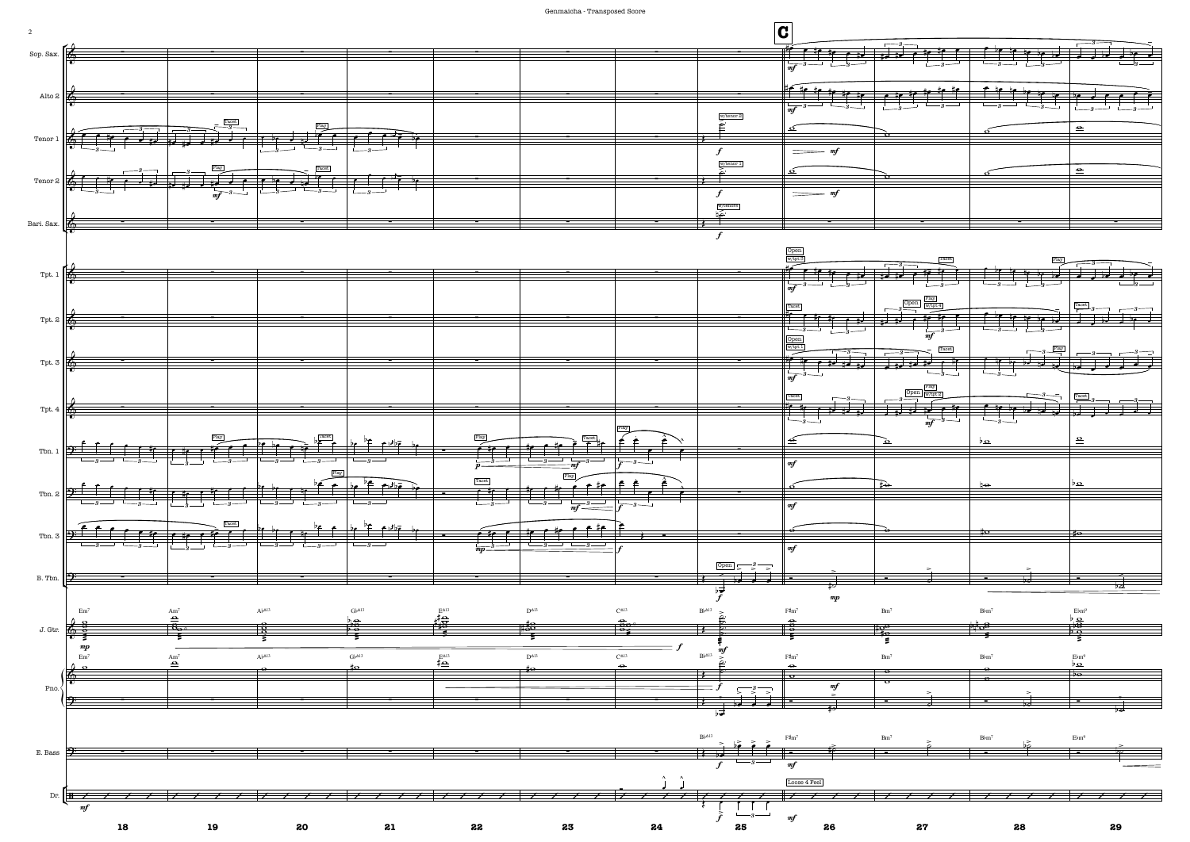

| $\frac{3}{4}$<br>ħ<br>3                             | 177<br>42<br>$\overline{P}$<br>b.<br>$\cdot$ 3 -<br>'3 | $-3-$<br>17<br>'3 |
|-----------------------------------------------------|--------------------------------------------------------|-------------------|
| ⋕,<br>t۰<br>₿.<br>m<br>$\overline{\mathbf{3}}$<br>3 | مه<br>₩<br>b.<br>Ħ<br>n.<br>$-3$<br>$3 -$              | ¥<br>3<br>3       |
|                                                     | ó                                                      | $\triangleq$      |
|                                                     | $\acute{\mathbf{o}}$                                   | $\bullet$         |
|                                                     |                                                        |                   |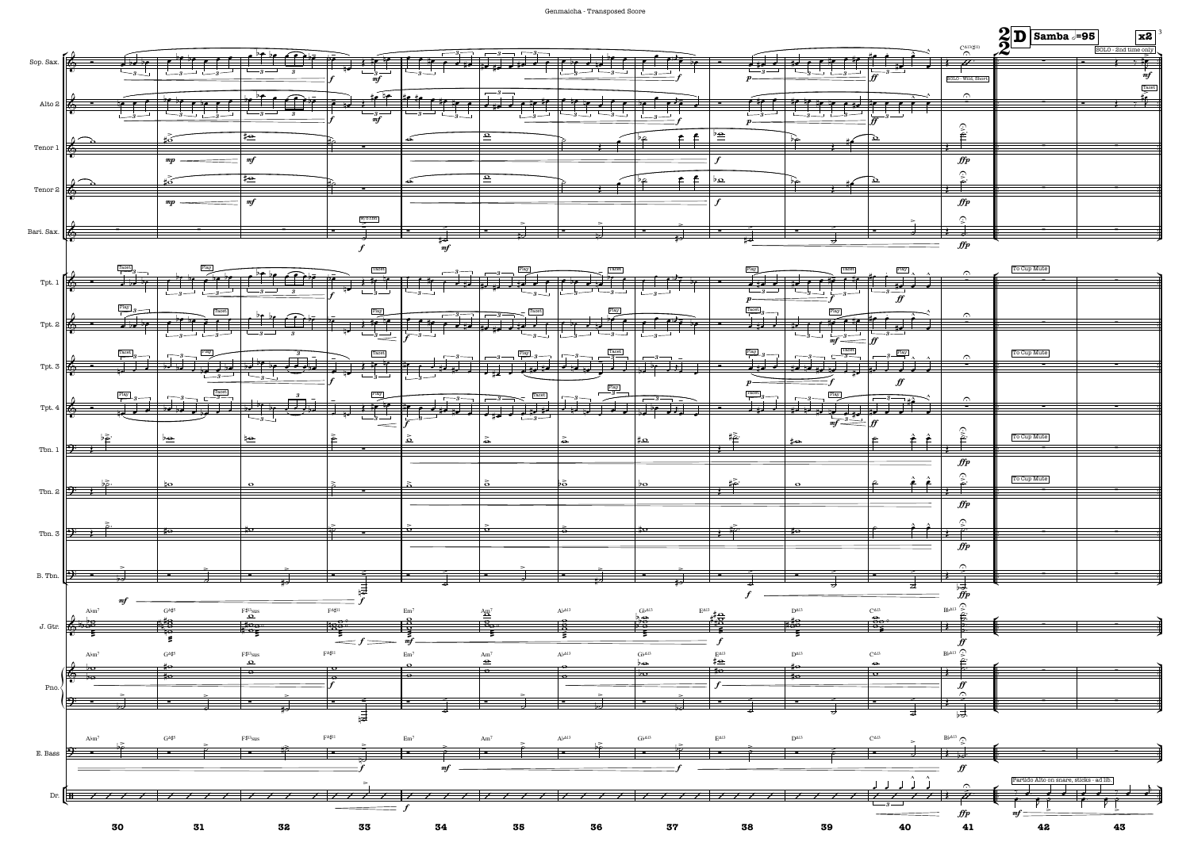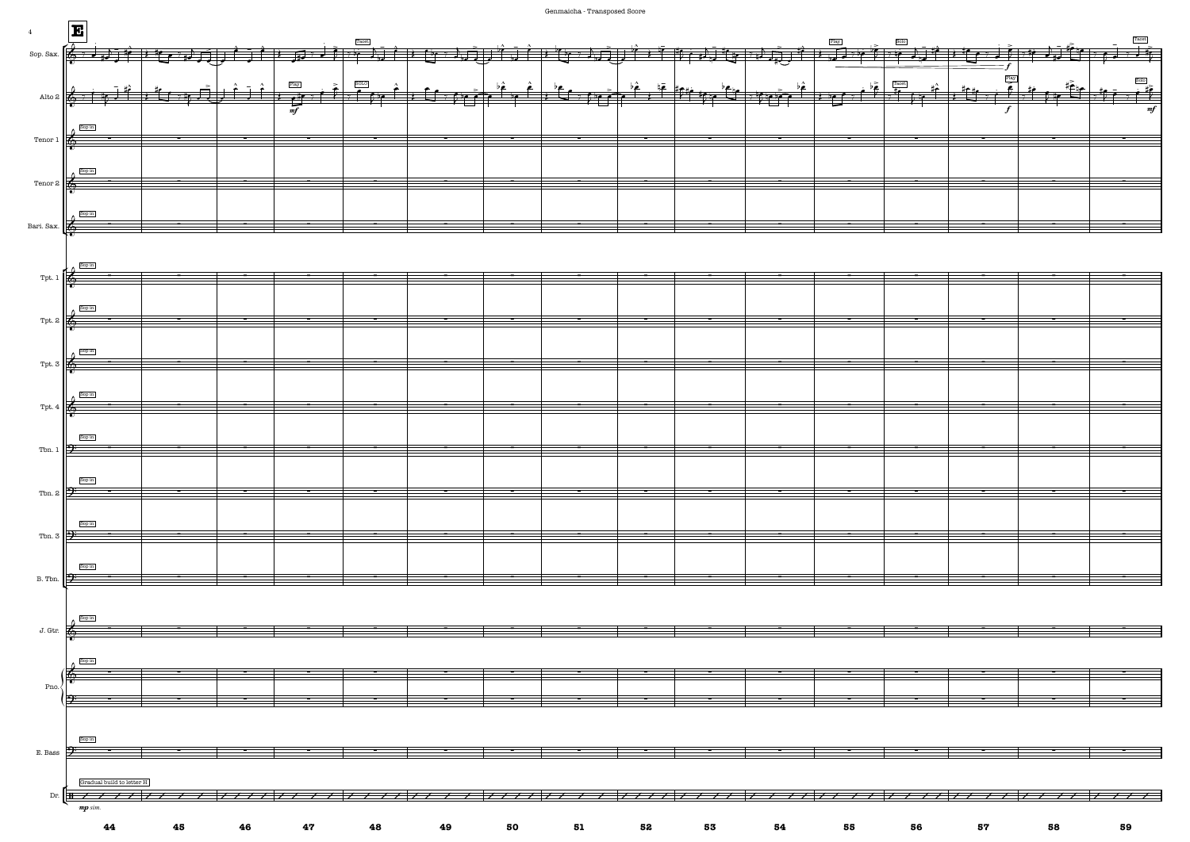Sop. Sax.

Alto 2

Tenor 1

Tenor 2

Bari. Sax.

 $\sqrt{\Theta}$ 



Sop in

Sop in

Sop in



| Solo<br>$\frac{1}{2}$<br>$\overline{\cdot}$<br>$\cdot$<br>þ.<br>$\fbox{\parbox{1.5cm} \begin{picture}(10,10) \put(0,0){\dashbox{0.5}(10,0){ }} \put(15,0){\dashbox{0.5}(10,0){ }} \put(15,0){\dashbox{0.5}(10,0){ }} \put(15,0){\dashbox{0.5}(10,0){ }} \put(15,0){\dashbox{0.5}(10,0){ }} \put(15,0){\dashbox{0.5}(10,0){ }} \put(15,0){\dashbox{0.5}(10,0){ }} \put(15,0){\dashbox{0.5}(10,0){ }} \put(15,0){\dashbox{0.5}(10,0){ }} \$<br>$\frac{b}{f}$<br>$\overline{\mathbf{u}_f}$<br>Ŧ | Ц.<br>H۵<br>-<br>₩ | $\bullet$<br>$\overline{\mathbf{u}}$ | ≥<br>٦<br>$\frac{Play}{2}$<br>$\overline{\mathbf{u}}$ | فالز<br>π<br>#<br>17 | t.<br>T.<br>⊪⊨ի | $\cdot$<br>t | Tacet<br>$\bullet$<br>π<br>Solo<br>π<br>स्र |  |
|----------------------------------------------------------------------------------------------------------------------------------------------------------------------------------------------------------------------------------------------------------------------------------------------------------------------------------------------------------------------------------------------------------------------------------------------------------------------------------------------|--------------------|--------------------------------------|-------------------------------------------------------|----------------------|-----------------|--------------|---------------------------------------------|--|
|                                                                                                                                                                                                                                                                                                                                                                                                                                                                                              |                    |                                      | $\boldsymbol{f}$                                      | -                    |                 |              | $\it mf$<br>÷                               |  |
|                                                                                                                                                                                                                                                                                                                                                                                                                                                                                              |                    |                                      |                                                       | ≖                    |                 |              |                                             |  |
|                                                                                                                                                                                                                                                                                                                                                                                                                                                                                              | -                  |                                      |                                                       | -                    |                 |              | -                                           |  |

| $\mathcal{L}(\mathcal{L})$ |                                                                                                                       |                    | <u>e a se</u>            |
|----------------------------|-----------------------------------------------------------------------------------------------------------------------|--------------------|--------------------------|
|                            |                                                                                                                       |                    |                          |
|                            |                                                                                                                       |                    |                          |
|                            |                                                                                                                       |                    |                          |
|                            |                                                                                                                       |                    |                          |
|                            |                                                                                                                       |                    |                          |
|                            |                                                                                                                       |                    |                          |
|                            |                                                                                                                       |                    |                          |
|                            |                                                                                                                       |                    |                          |
|                            |                                                                                                                       |                    |                          |
|                            |                                                                                                                       |                    |                          |
|                            |                                                                                                                       |                    |                          |
|                            |                                                                                                                       |                    |                          |
|                            |                                                                                                                       |                    |                          |
|                            | $\sim$                                                                                                                | $\sim$ $\sim$      |                          |
| $\overline{\phantom{0}}$   |                                                                                                                       |                    |                          |
|                            |                                                                                                                       |                    |                          |
|                            |                                                                                                                       |                    |                          |
|                            |                                                                                                                       |                    |                          |
|                            |                                                                                                                       |                    |                          |
|                            |                                                                                                                       |                    |                          |
|                            |                                                                                                                       |                    |                          |
|                            |                                                                                                                       |                    |                          |
|                            |                                                                                                                       |                    |                          |
|                            |                                                                                                                       |                    |                          |
|                            |                                                                                                                       |                    |                          |
|                            |                                                                                                                       |                    |                          |
| $\overline{\phantom{a}}$   |                                                                                                                       |                    |                          |
|                            | $\overline{\phantom{a}}$                                                                                              |                    | $\sim$ $\sim$            |
|                            |                                                                                                                       |                    |                          |
|                            |                                                                                                                       |                    |                          |
|                            |                                                                                                                       |                    |                          |
|                            |                                                                                                                       |                    |                          |
|                            |                                                                                                                       |                    |                          |
|                            |                                                                                                                       |                    |                          |
|                            |                                                                                                                       |                    |                          |
|                            |                                                                                                                       |                    |                          |
|                            |                                                                                                                       |                    |                          |
|                            |                                                                                                                       |                    |                          |
|                            |                                                                                                                       |                    |                          |
|                            |                                                                                                                       |                    |                          |
|                            |                                                                                                                       |                    |                          |
| $\overline{\phantom{a}}$   | <u> Timber aya a shekara ta 1991 a shekara ta 1991 a shekara ta 1991 a shekara ta 1991 a 1991 a shekara ta 1991 a</u> |                    |                          |
|                            |                                                                                                                       | <del>__</del> __   | $\blacksquare$           |
|                            |                                                                                                                       |                    |                          |
|                            |                                                                                                                       |                    |                          |
|                            |                                                                                                                       |                    |                          |
|                            |                                                                                                                       |                    |                          |
|                            |                                                                                                                       |                    |                          |
|                            |                                                                                                                       |                    |                          |
|                            |                                                                                                                       |                    |                          |
|                            |                                                                                                                       |                    |                          |
|                            |                                                                                                                       |                    |                          |
|                            |                                                                                                                       |                    |                          |
|                            |                                                                                                                       |                    |                          |
|                            |                                                                                                                       |                    |                          |
|                            |                                                                                                                       |                    |                          |
|                            |                                                                                                                       | <u> Tanzania (</u> | $\blacksquare$           |
|                            |                                                                                                                       |                    |                          |
|                            |                                                                                                                       |                    |                          |
|                            |                                                                                                                       |                    |                          |
|                            |                                                                                                                       |                    |                          |
|                            |                                                                                                                       |                    |                          |
|                            |                                                                                                                       |                    |                          |
|                            |                                                                                                                       |                    |                          |
|                            |                                                                                                                       |                    |                          |
|                            |                                                                                                                       |                    |                          |
|                            |                                                                                                                       |                    |                          |
|                            |                                                                                                                       |                    |                          |
|                            |                                                                                                                       |                    |                          |
|                            |                                                                                                                       |                    |                          |
|                            |                                                                                                                       |                    |                          |
|                            |                                                                                                                       |                    |                          |
|                            |                                                                                                                       |                    |                          |
|                            |                                                                                                                       |                    |                          |
|                            |                                                                                                                       |                    |                          |
|                            |                                                                                                                       |                    |                          |
|                            |                                                                                                                       |                    |                          |
|                            |                                                                                                                       |                    |                          |
|                            |                                                                                                                       |                    |                          |
|                            |                                                                                                                       |                    |                          |
|                            |                                                                                                                       |                    |                          |
|                            |                                                                                                                       |                    |                          |
|                            |                                                                                                                       |                    |                          |
|                            |                                                                                                                       |                    |                          |
|                            |                                                                                                                       |                    |                          |
|                            |                                                                                                                       |                    |                          |
|                            |                                                                                                                       |                    |                          |
|                            |                                                                                                                       |                    | $\sim$ $\sim$            |
|                            |                                                                                                                       |                    |                          |
|                            |                                                                                                                       |                    |                          |
|                            |                                                                                                                       |                    |                          |
|                            |                                                                                                                       |                    |                          |
|                            |                                                                                                                       |                    |                          |
|                            |                                                                                                                       |                    |                          |
|                            |                                                                                                                       |                    |                          |
|                            |                                                                                                                       |                    |                          |
|                            |                                                                                                                       |                    |                          |
|                            |                                                                                                                       |                    |                          |
|                            |                                                                                                                       |                    |                          |
|                            |                                                                                                                       |                    |                          |
|                            |                                                                                                                       |                    |                          |
|                            | $\overline{\phantom{a}}$ , and the set of $\overline{\phantom{a}}$                                                    |                    | $\overline{\phantom{a}}$ |

|  |  |  |  |  |  |  |  | /////////////////// |  |  |
|--|--|--|--|--|--|--|--|---------------------|--|--|
|  |  |  |  |  |  |  |  |                     |  |  |
|  |  |  |  |  |  |  |  |                     |  |  |



 $\sqrt{2}$ 

 $y \restriction \texttt{if}$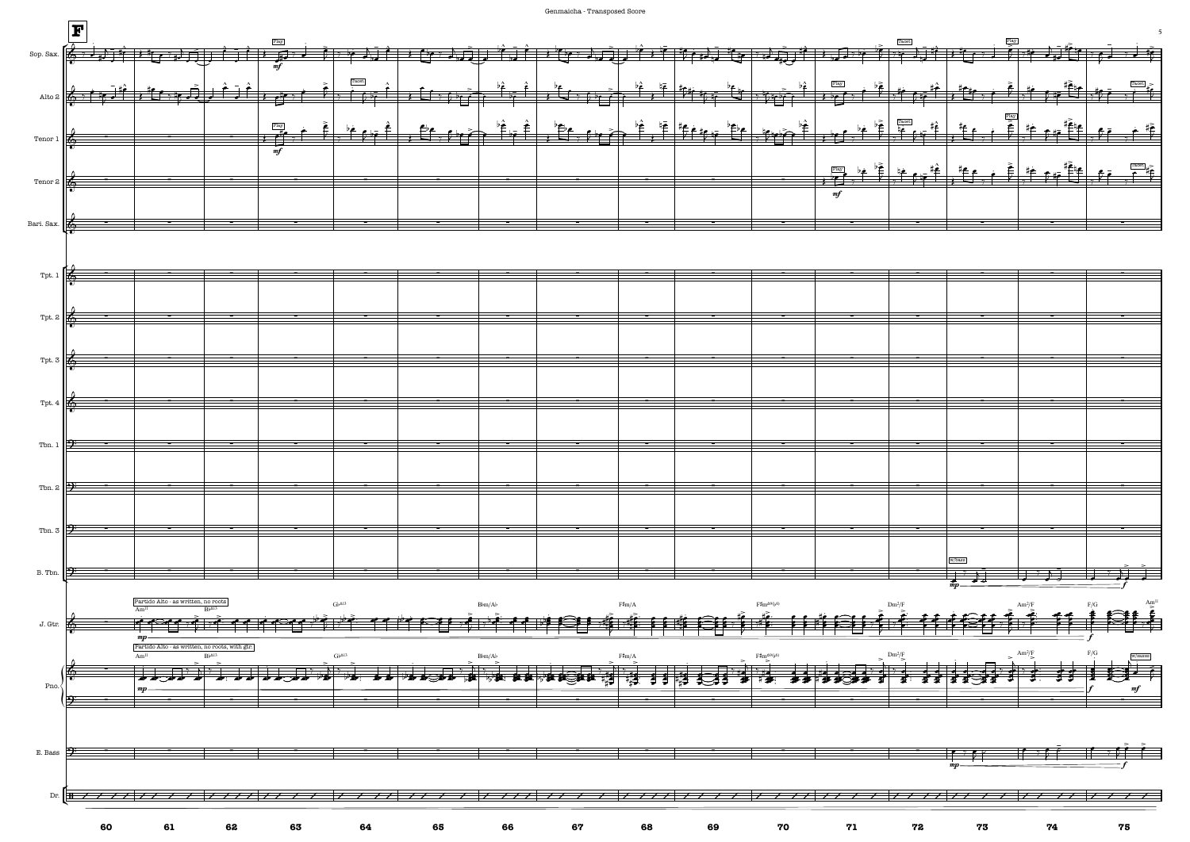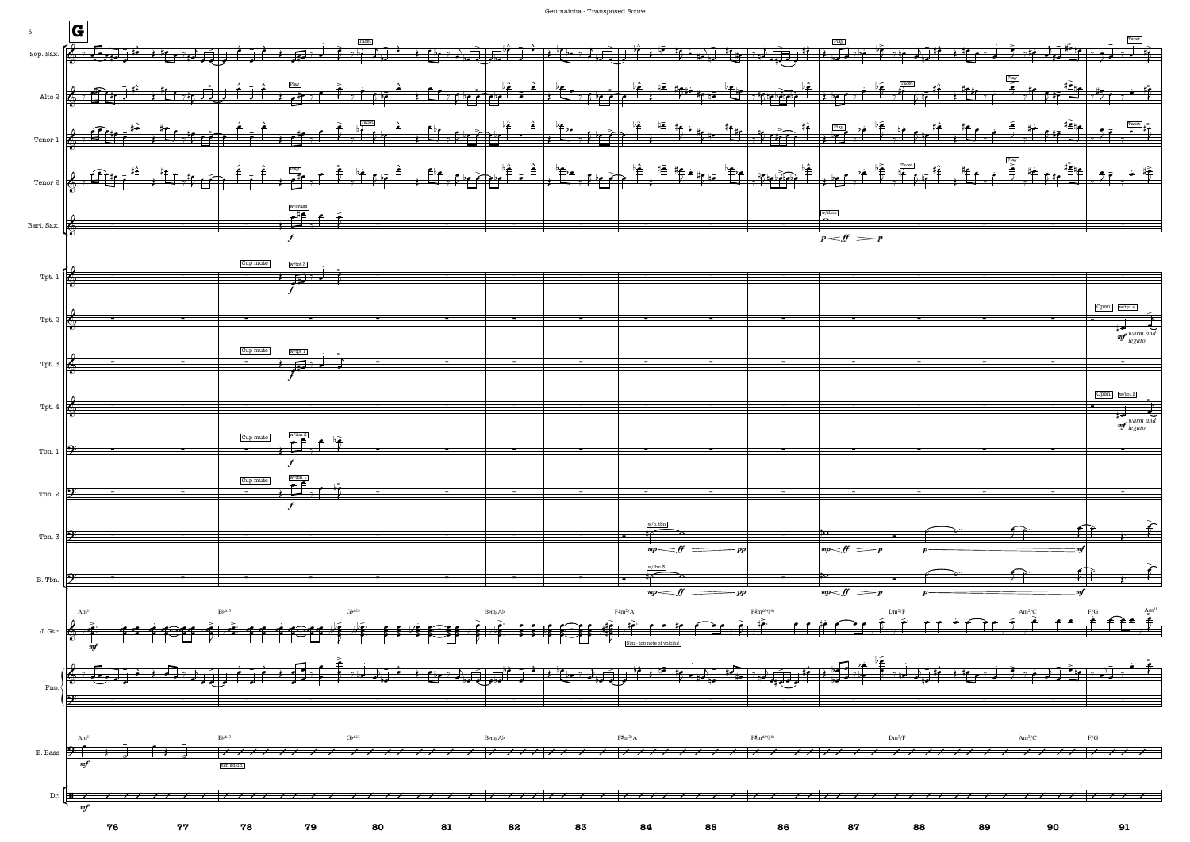**76 77 78 79 80 81 82 83 84 85 86 87 88 89 90 91**



Genmaicha - Transposed Score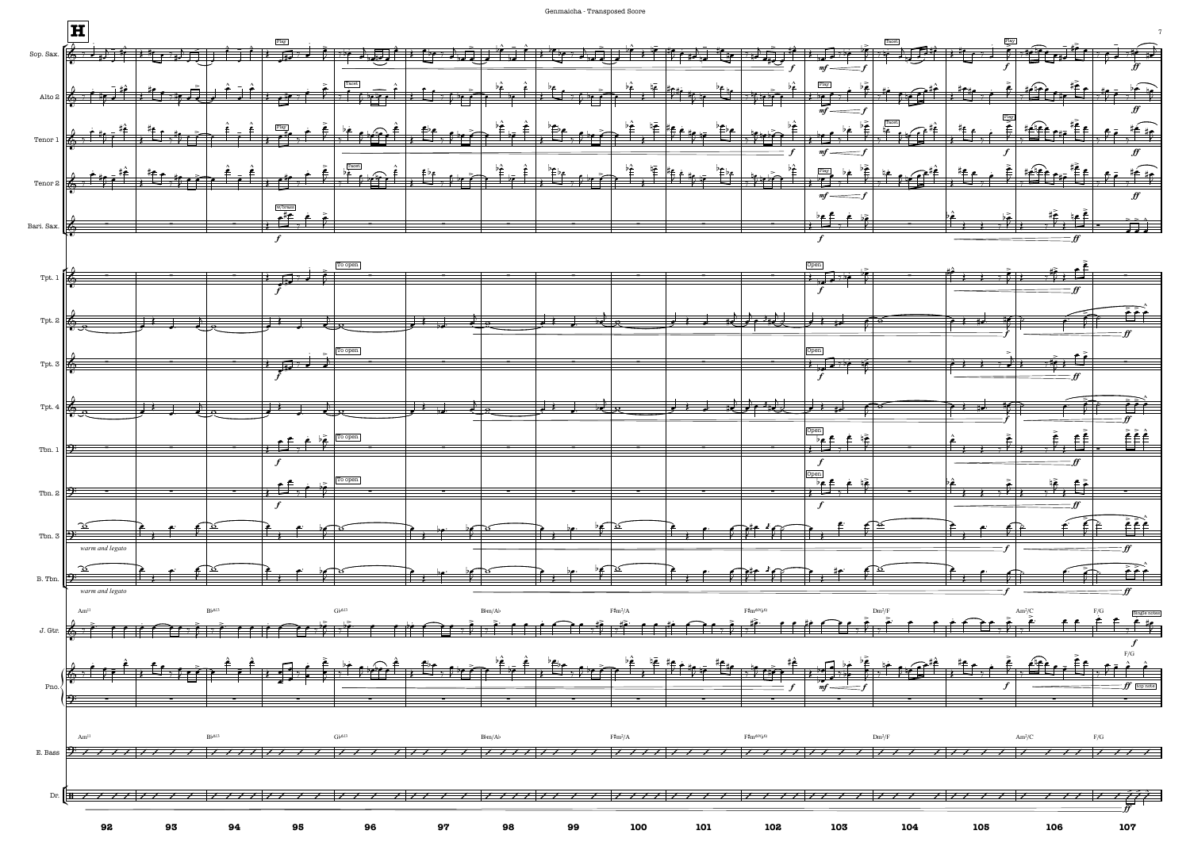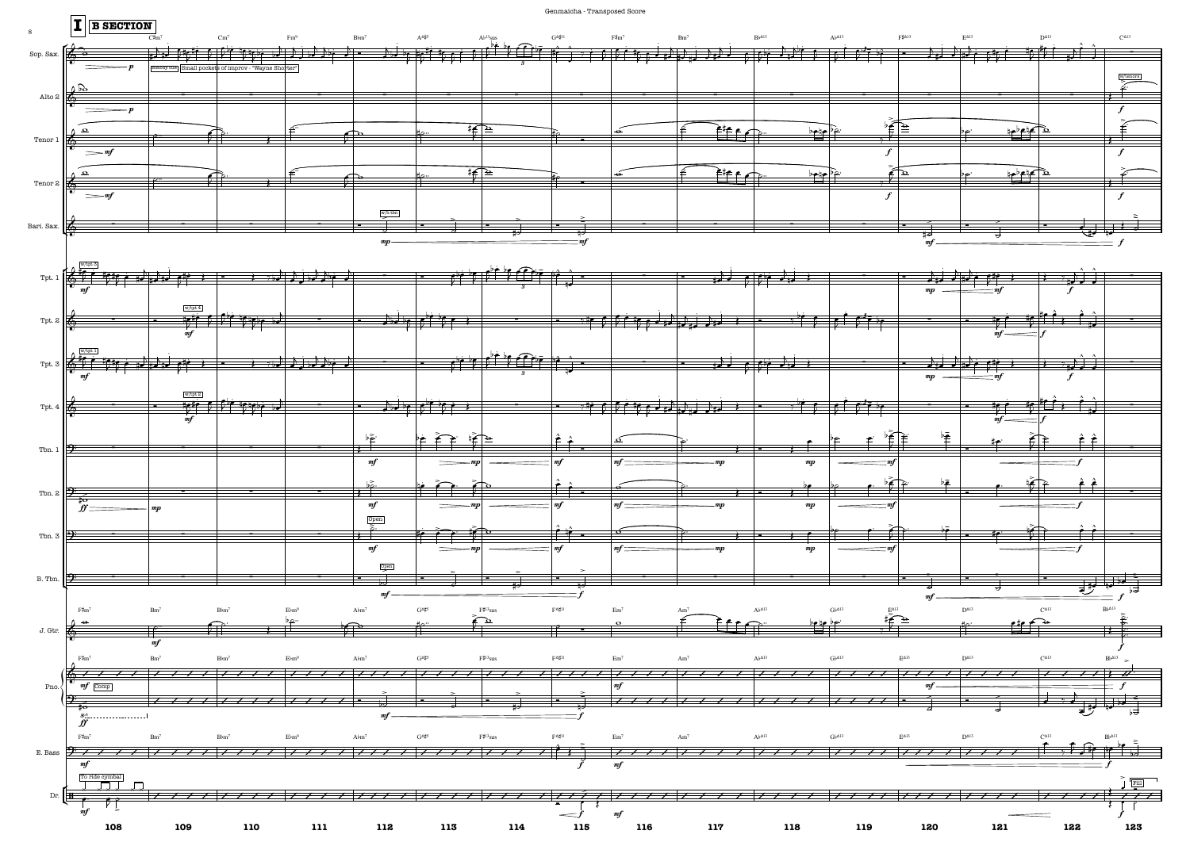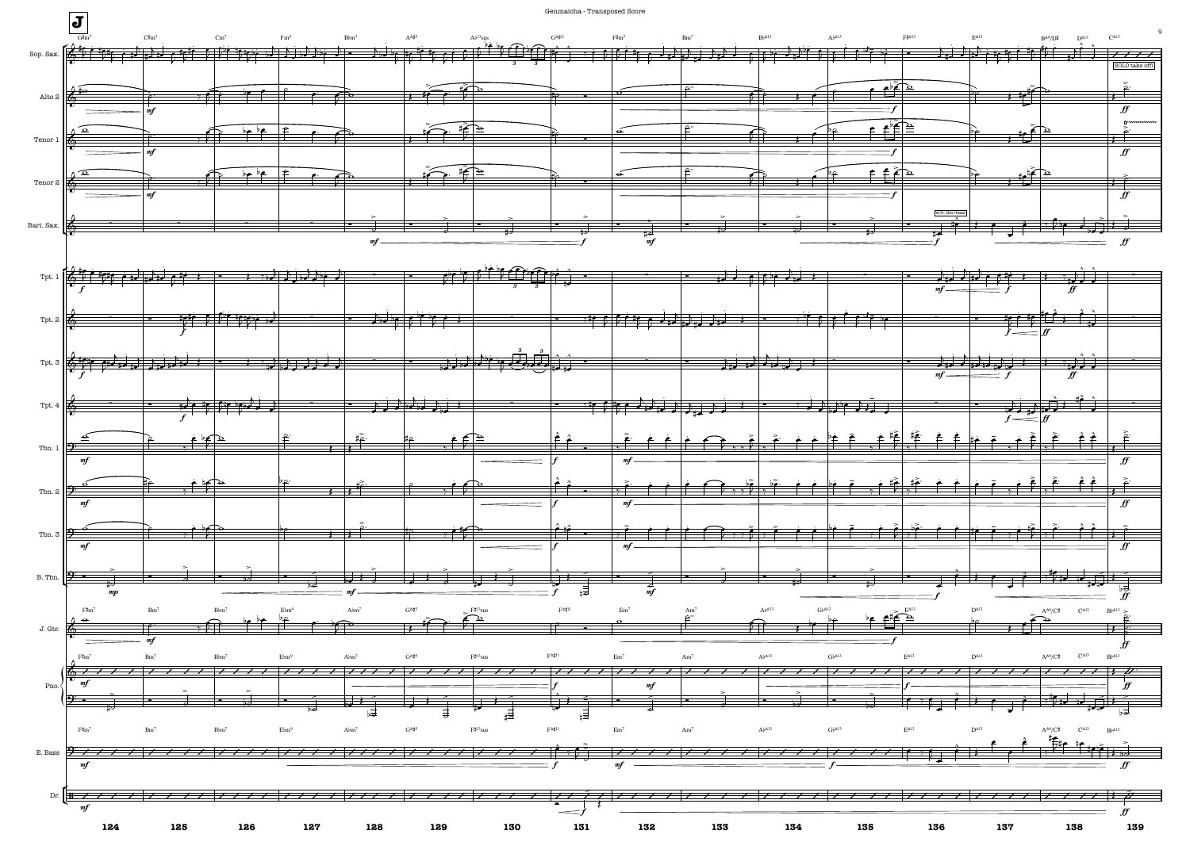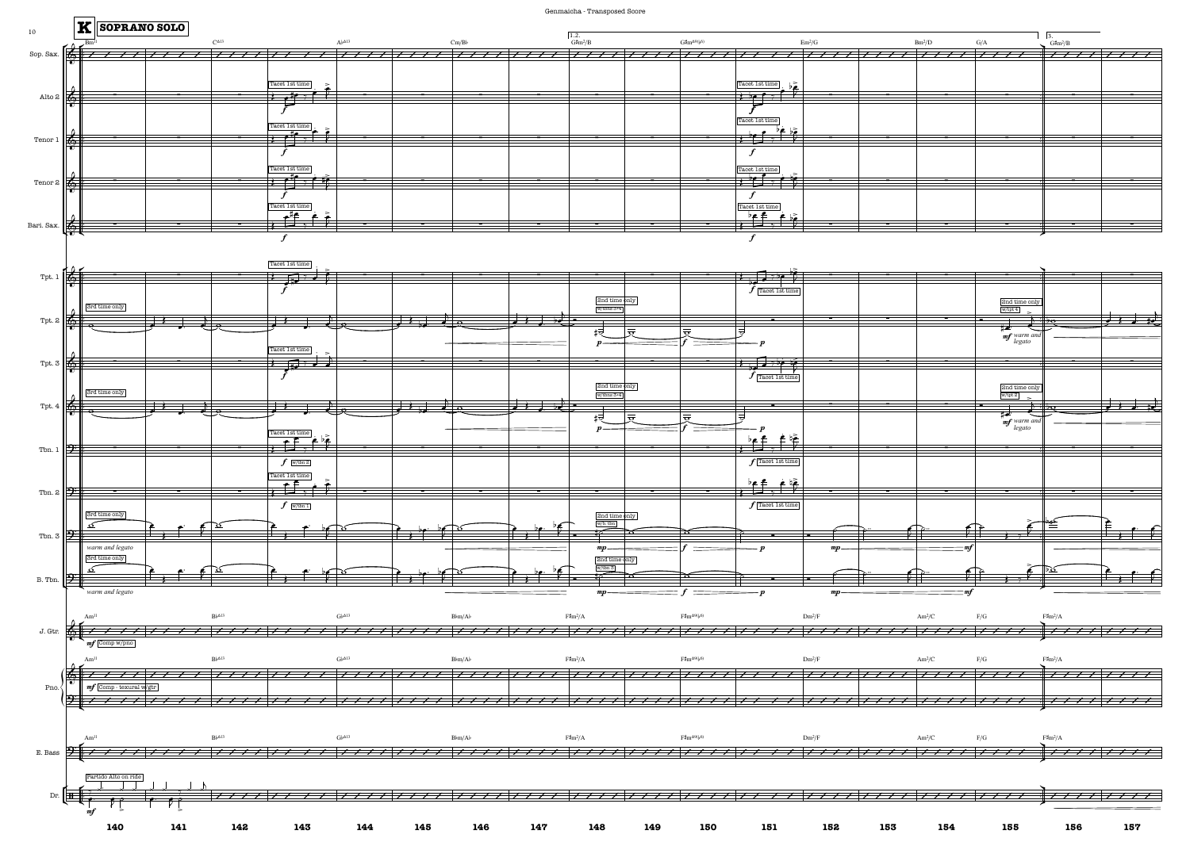**140 141 142 143 144 145 146 147 148 149 150 151 152 153 154 155 156 157**



| $\rm Bm^2\!/D$ | $\mathrm{G}/\mathrm{A}$  | 3.<br>$G\frac{4}{3}m^2/B$ |                     |
|----------------|--------------------------|---------------------------|---------------------|
| ৴              | $\overline{\phantom{0}}$ | न                         | $\prime$ / $\prime$ |
|                |                          |                           |                     |
|                |                          |                           |                     |
|                |                          |                           |                     |
|                |                          | ▬<br>-                    |                     |
|                | $\overline{\cdot}$       |                           |                     |
|                |                          |                           |                     |
|                |                          |                           |                     |
|                |                          |                           |                     |
|                | ▬                        |                           |                     |
|                |                          | न                         |                     |
|                |                          |                           |                     |
|                |                          |                           |                     |
|                |                          |                           |                     |
|                |                          |                           |                     |
| ▬              |                          | -<br>न                    |                     |
|                |                          | $\overline{\phantom{a}}$  |                     |
|                |                          |                           |                     |
|                |                          |                           |                     |
|                |                          |                           |                     |
|                |                          | ₹                         |                     |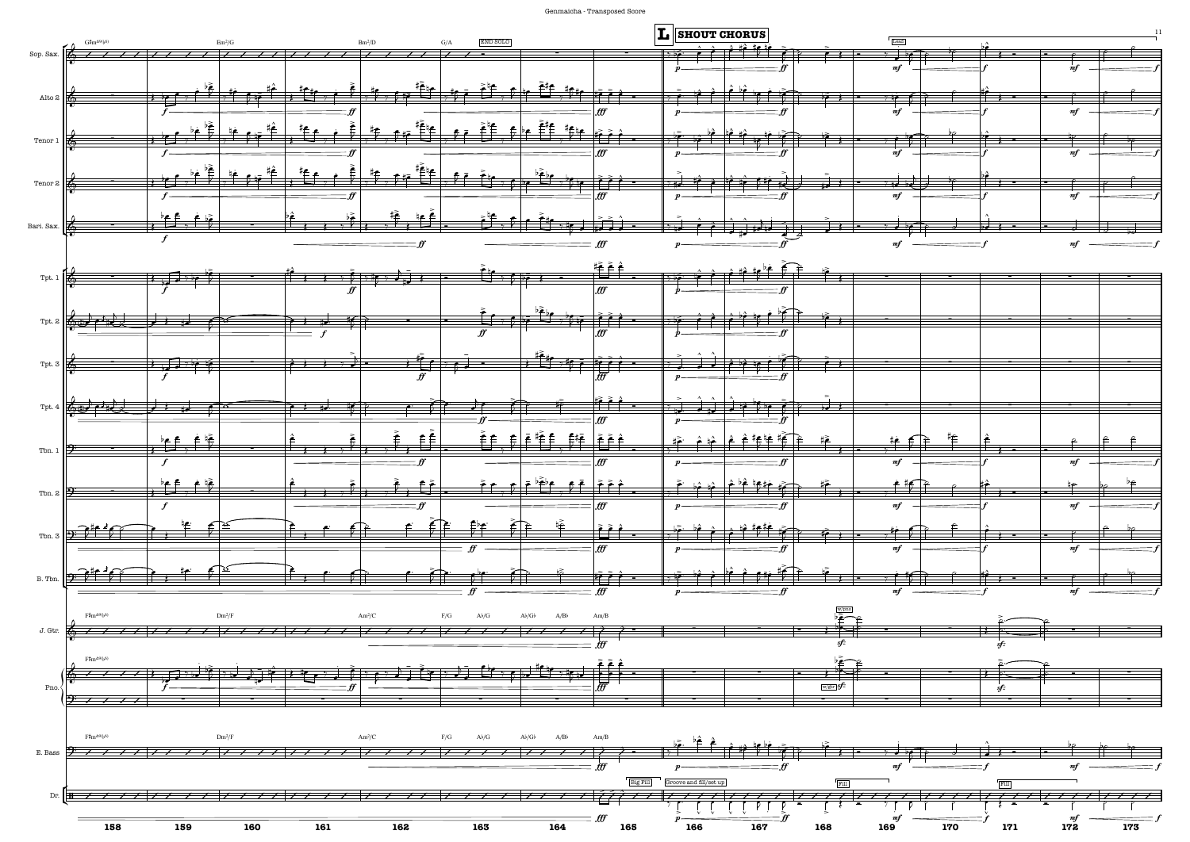![](_page_10_Figure_1.jpeg)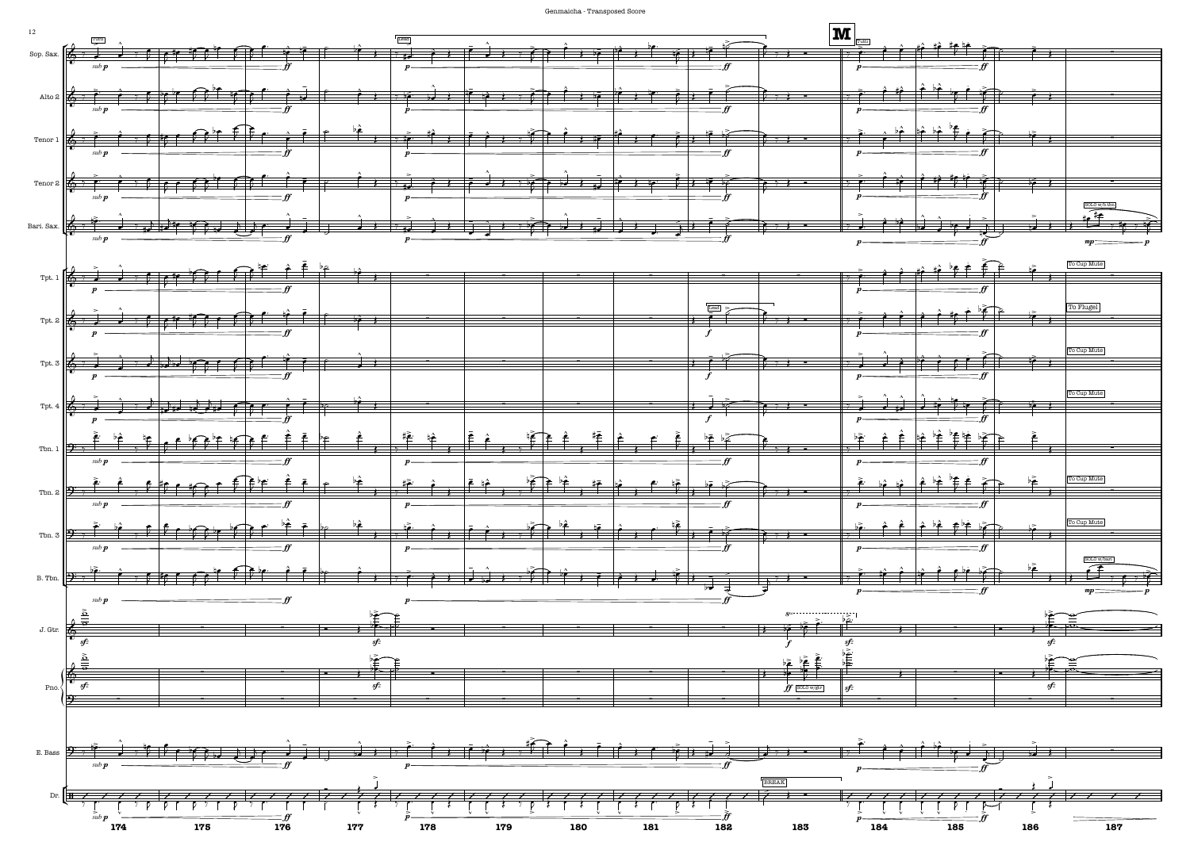![](_page_11_Figure_1.jpeg)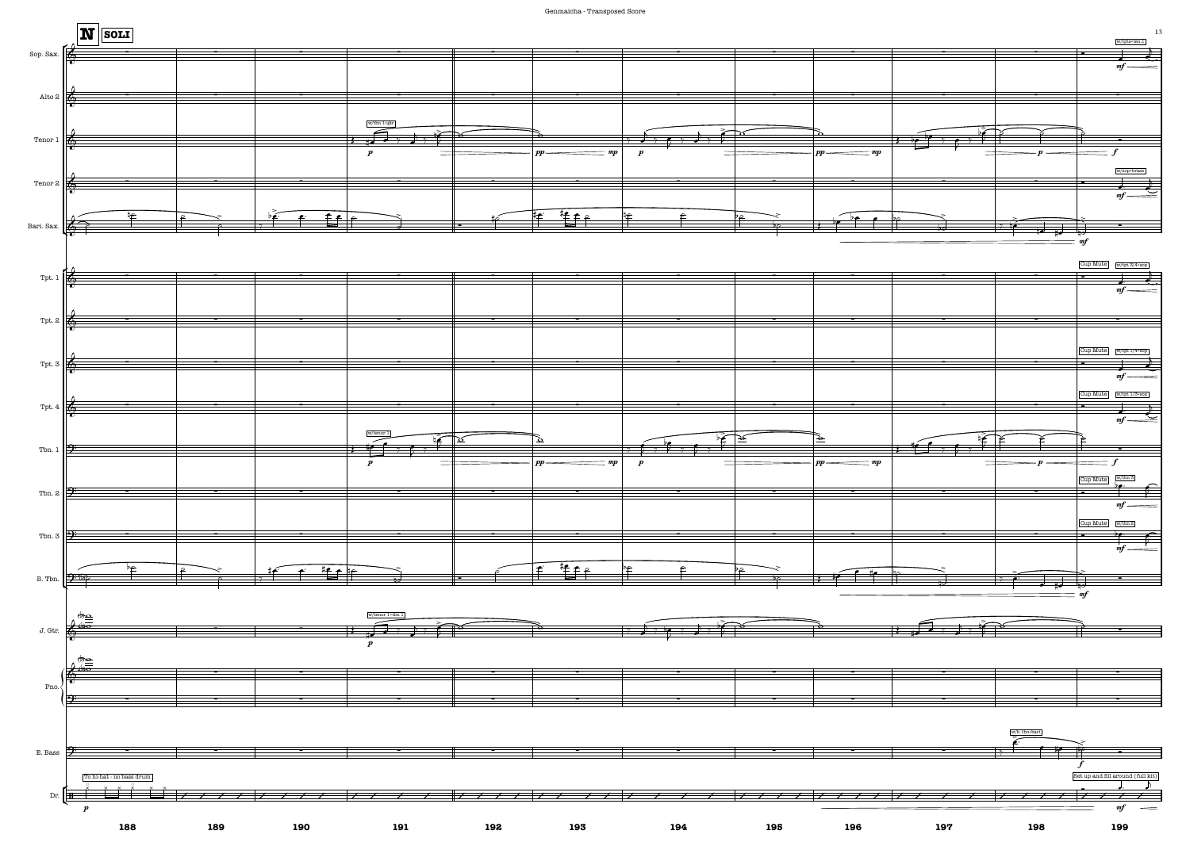![](_page_12_Figure_1.jpeg)

![](_page_12_Figure_3.jpeg)

![](_page_12_Figure_4.jpeg)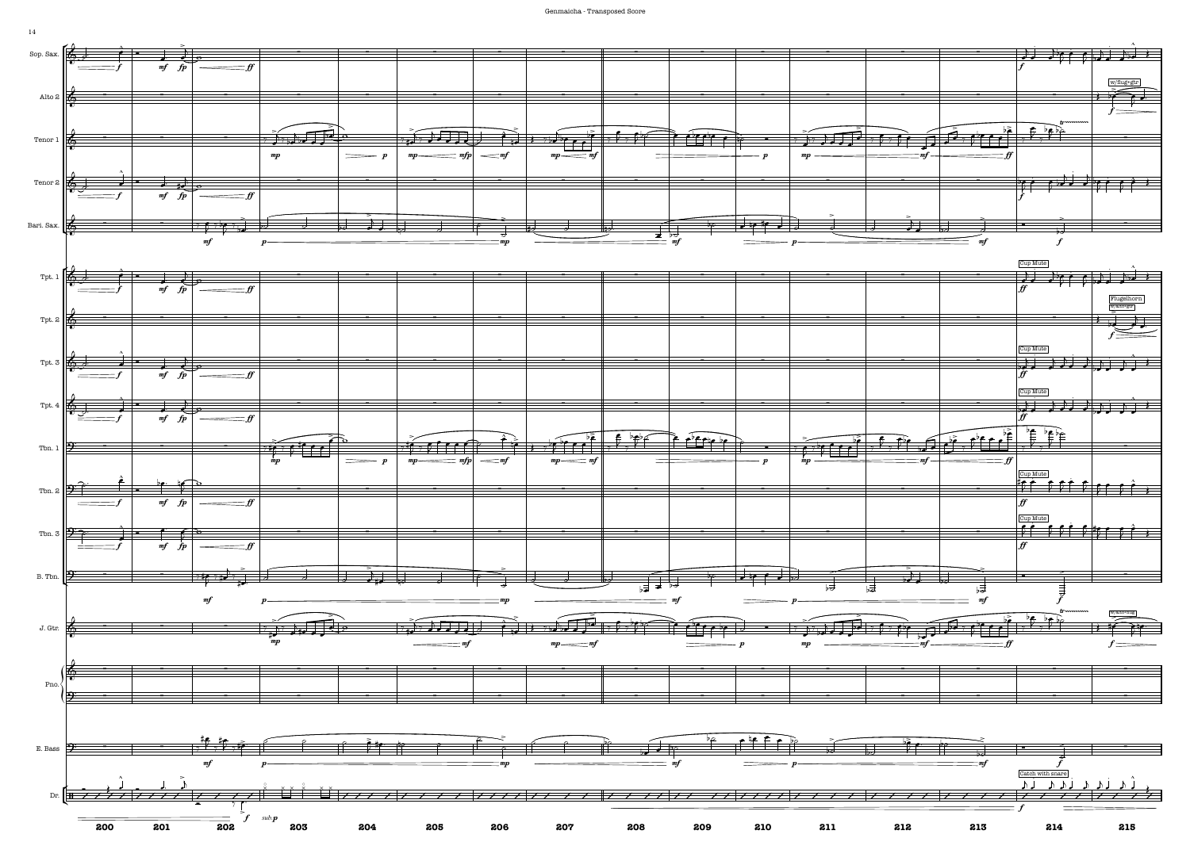![](_page_13_Figure_1.jpeg)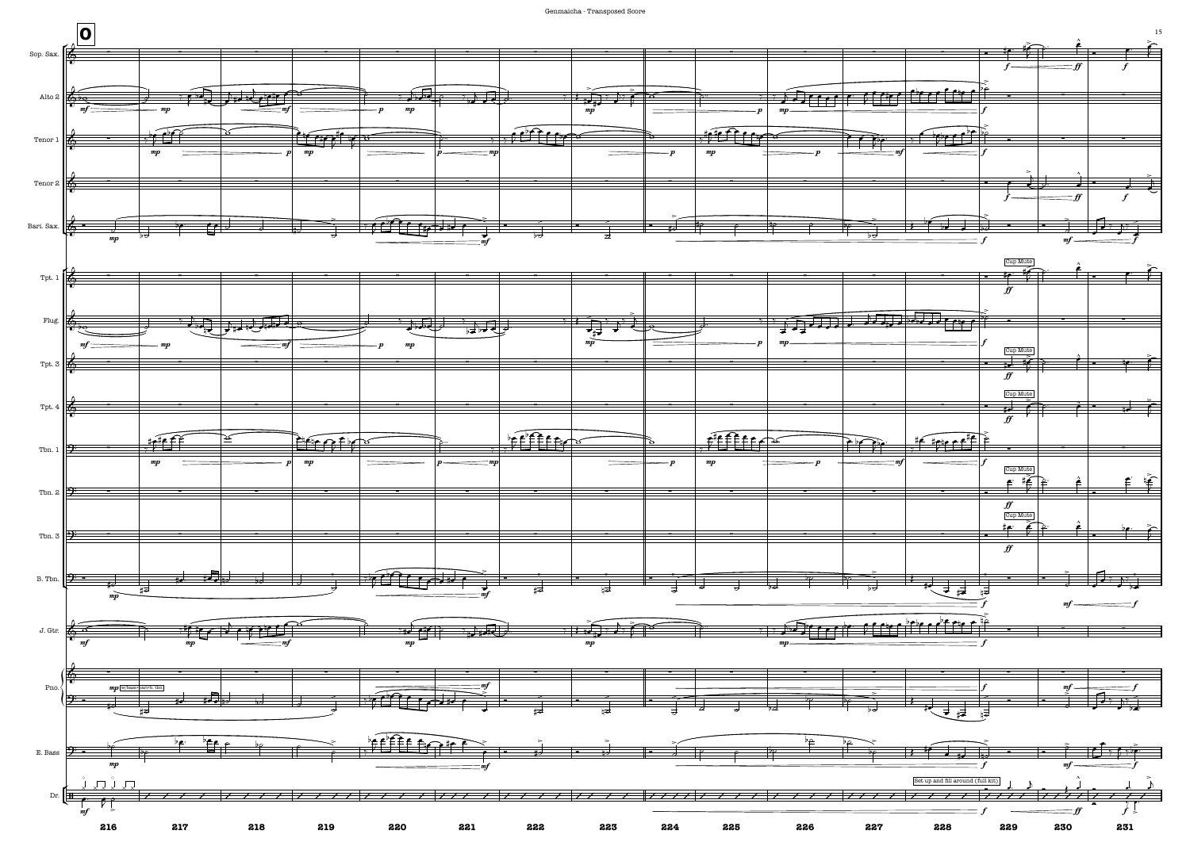![](_page_14_Figure_1.jpeg)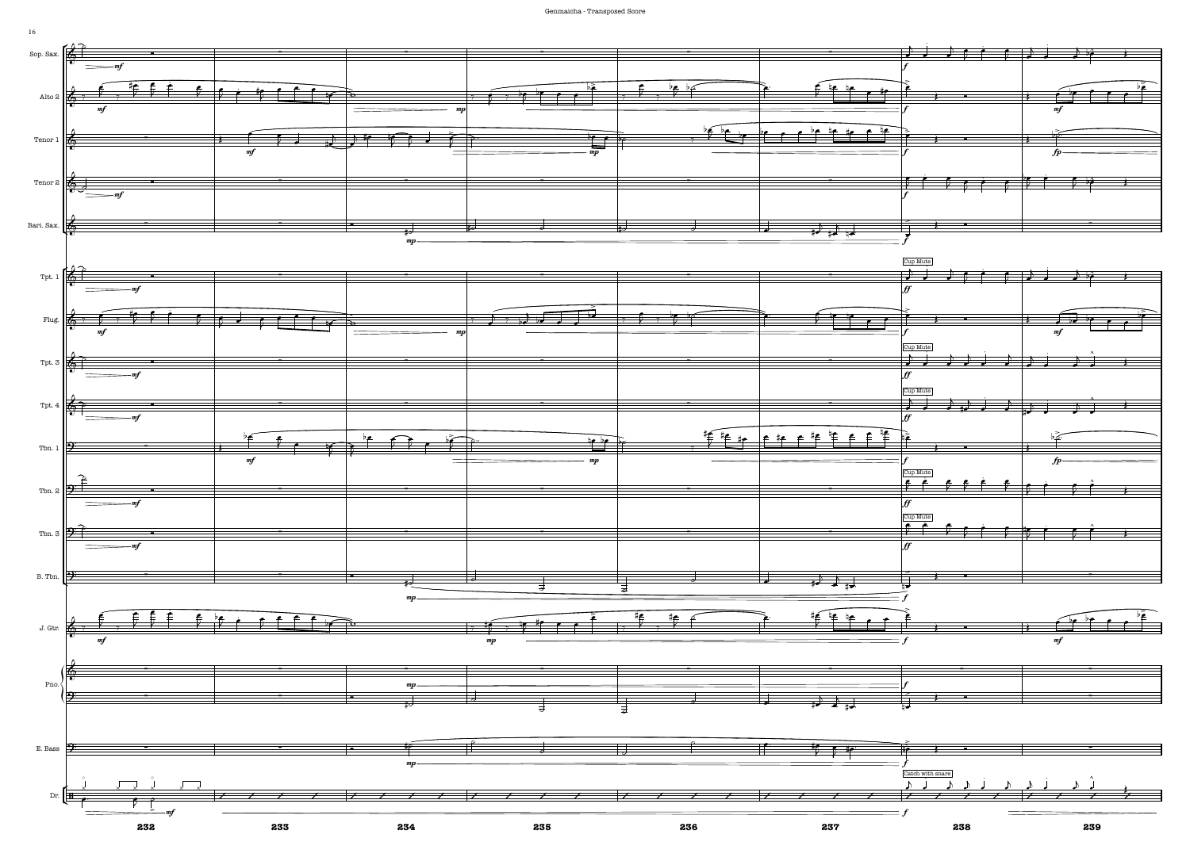![](_page_15_Figure_1.jpeg)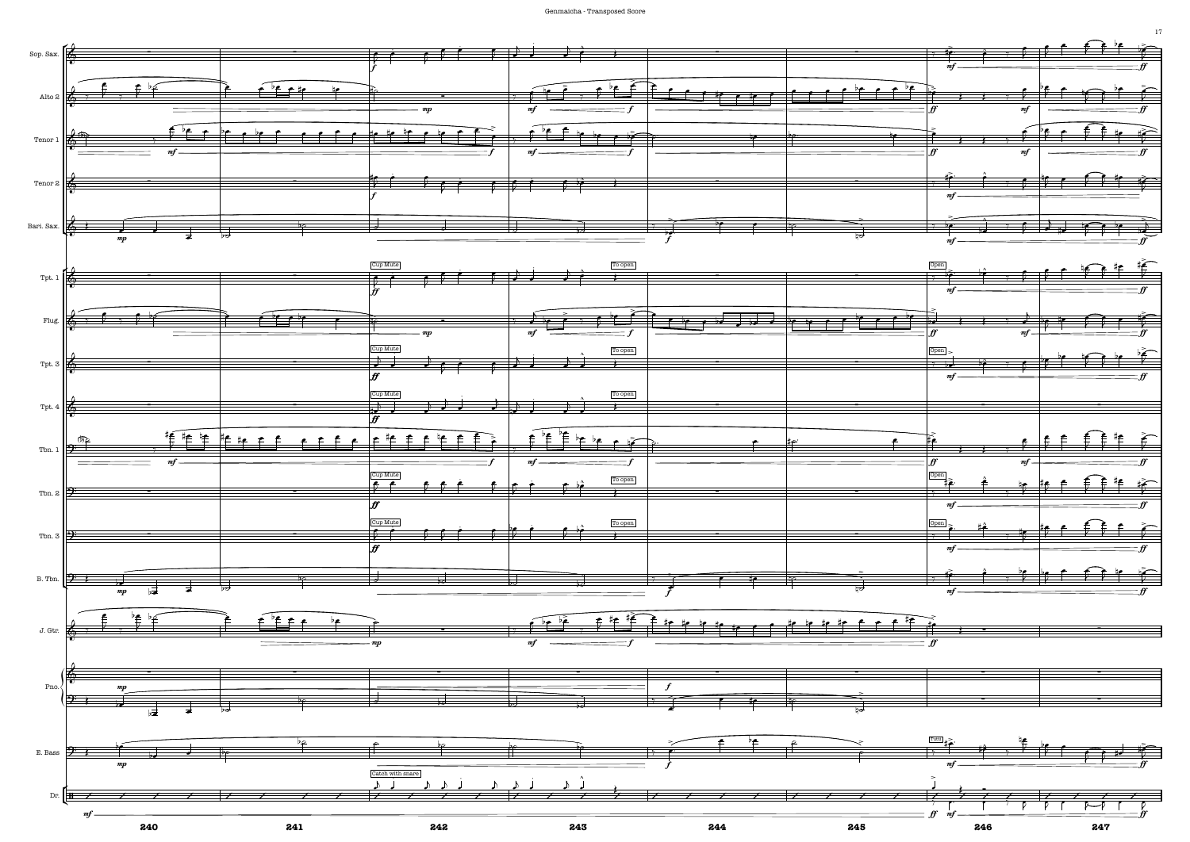![](_page_16_Figure_1.jpeg)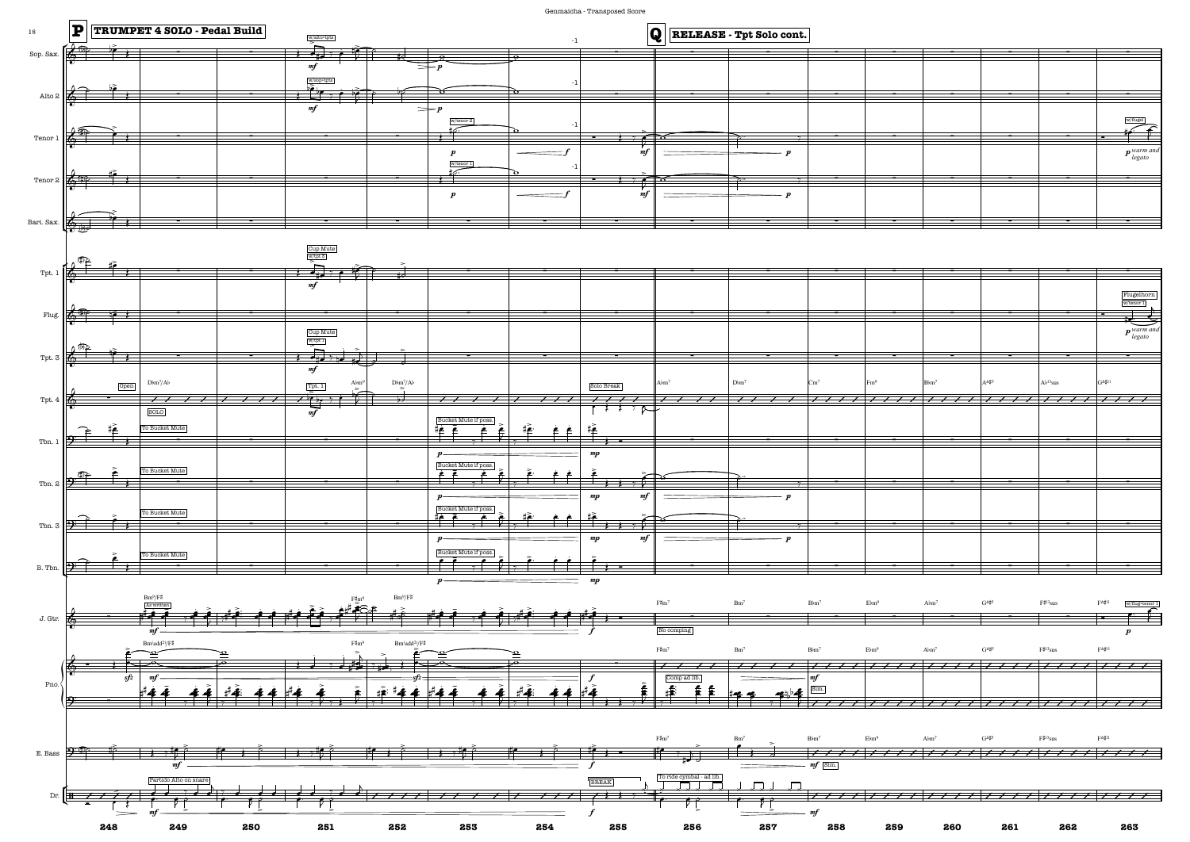![](_page_17_Figure_0.jpeg)

|   |   |   | w/flugel                             |
|---|---|---|--------------------------------------|
|   |   |   |                                      |
|   |   |   |                                      |
|   |   |   |                                      |
|   |   |   |                                      |
|   |   |   |                                      |
|   |   |   |                                      |
|   |   |   |                                      |
|   |   |   |                                      |
|   |   |   |                                      |
|   | - | ╾ |                                      |
|   |   |   |                                      |
|   |   |   |                                      |
|   |   |   |                                      |
|   |   |   |                                      |
|   |   |   |                                      |
|   |   |   |                                      |
|   |   |   |                                      |
|   |   |   |                                      |
|   |   |   |                                      |
|   |   |   | $\boldsymbol{p}$ <sup>warm</sup> and |
|   |   |   |                                      |
|   |   |   |                                      |
|   |   |   |                                      |
|   |   |   |                                      |
|   |   |   |                                      |
|   |   |   |                                      |
|   |   |   |                                      |
|   |   |   |                                      |
|   |   |   |                                      |
|   |   |   |                                      |
|   |   |   |                                      |
|   |   |   |                                      |
|   |   |   |                                      |
|   |   |   |                                      |
|   |   |   |                                      |
|   |   |   |                                      |
|   |   |   |                                      |
|   |   |   |                                      |
|   |   |   |                                      |
|   |   |   |                                      |
|   |   |   |                                      |
|   |   |   |                                      |
|   |   |   |                                      |
|   |   |   |                                      |
|   |   |   |                                      |
|   |   |   |                                      |
|   |   |   |                                      |
|   |   |   |                                      |
|   |   |   |                                      |
|   |   |   |                                      |
|   |   |   |                                      |
|   |   |   |                                      |
|   |   |   |                                      |
|   |   |   |                                      |
|   |   |   |                                      |
|   |   |   |                                      |
|   |   |   |                                      |
| - | - |   |                                      |
|   |   |   |                                      |
|   |   |   |                                      |

|         |                      |              | Flugelhorn                            |
|---------|----------------------|--------------|---------------------------------------|
|         |                      |              |                                       |
|         |                      |              |                                       |
|         |                      |              |                                       |
|         |                      |              | $w$ /tenor 1                          |
|         |                      |              |                                       |
|         |                      |              |                                       |
|         |                      |              | н.                                    |
|         |                      |              |                                       |
|         |                      |              | t.                                    |
|         |                      |              |                                       |
|         |                      |              |                                       |
|         |                      |              |                                       |
|         |                      |              |                                       |
|         |                      |              |                                       |
|         |                      |              |                                       |
|         |                      |              | $P_{\text{legato}}^{\text{warm and}}$ |
|         |                      |              |                                       |
|         |                      |              |                                       |
|         |                      |              |                                       |
|         |                      |              |                                       |
| -       | -                    |              |                                       |
|         |                      |              |                                       |
|         |                      |              |                                       |
|         |                      |              |                                       |
|         |                      |              |                                       |
|         |                      |              |                                       |
|         |                      |              |                                       |
|         |                      |              |                                       |
|         |                      |              |                                       |
|         |                      |              |                                       |
| $Bbm^7$ | $A^{\Delta\sharp 5}$ | $Ab^{13}sus$ | $G^{\Delta\sharp 11}$                 |
|         |                      |              |                                       |
|         |                      |              |                                       |
|         |                      |              |                                       |
|         |                      |              |                                       |
|         |                      |              |                                       |
|         |                      |              |                                       |
|         |                      |              |                                       |
|         |                      |              |                                       |
|         |                      |              |                                       |
|         |                      |              |                                       |
|         |                      |              |                                       |
|         |                      |              |                                       |
|         |                      |              |                                       |
|         |                      |              |                                       |
|         |                      |              |                                       |
|         |                      |              |                                       |
|         |                      |              |                                       |
|         |                      |              |                                       |
|         |                      |              |                                       |
|         |                      |              |                                       |
|         |                      |              |                                       |
|         |                      |              |                                       |
|         |                      |              |                                       |
|         |                      |              |                                       |
|         |                      |              |                                       |
|         |                      |              |                                       |
|         |                      |              |                                       |
|         |                      |              |                                       |
|         |                      |              |                                       |
|         |                      |              |                                       |
|         |                      |              |                                       |
|         |                      |              |                                       |
|         | ۰.                   |              |                                       |
|         |                      |              |                                       |
|         |                      |              | ۰.                                    |
|         |                      |              |                                       |
|         |                      |              |                                       |
|         |                      |              |                                       |
|         |                      |              |                                       |
|         |                      |              |                                       |
|         |                      |              |                                       |
|         |                      |              |                                       |
|         |                      |              |                                       |
|         |                      |              |                                       |
|         |                      |              |                                       |
|         |                      |              |                                       |
|         |                      |              |                                       |
|         |                      |              |                                       |
|         |                      |              |                                       |
|         |                      |              |                                       |
|         |                      |              |                                       |
|         |                      |              |                                       |
|         |                      |              |                                       |
|         |                      |              |                                       |
|         |                      |              |                                       |
|         |                      |              |                                       |
|         |                      |              |                                       |
|         |                      |              |                                       |
|         |                      |              |                                       |
|         |                      |              |                                       |
|         |                      |              |                                       |
|         |                      |              |                                       |
|         |                      |              |                                       |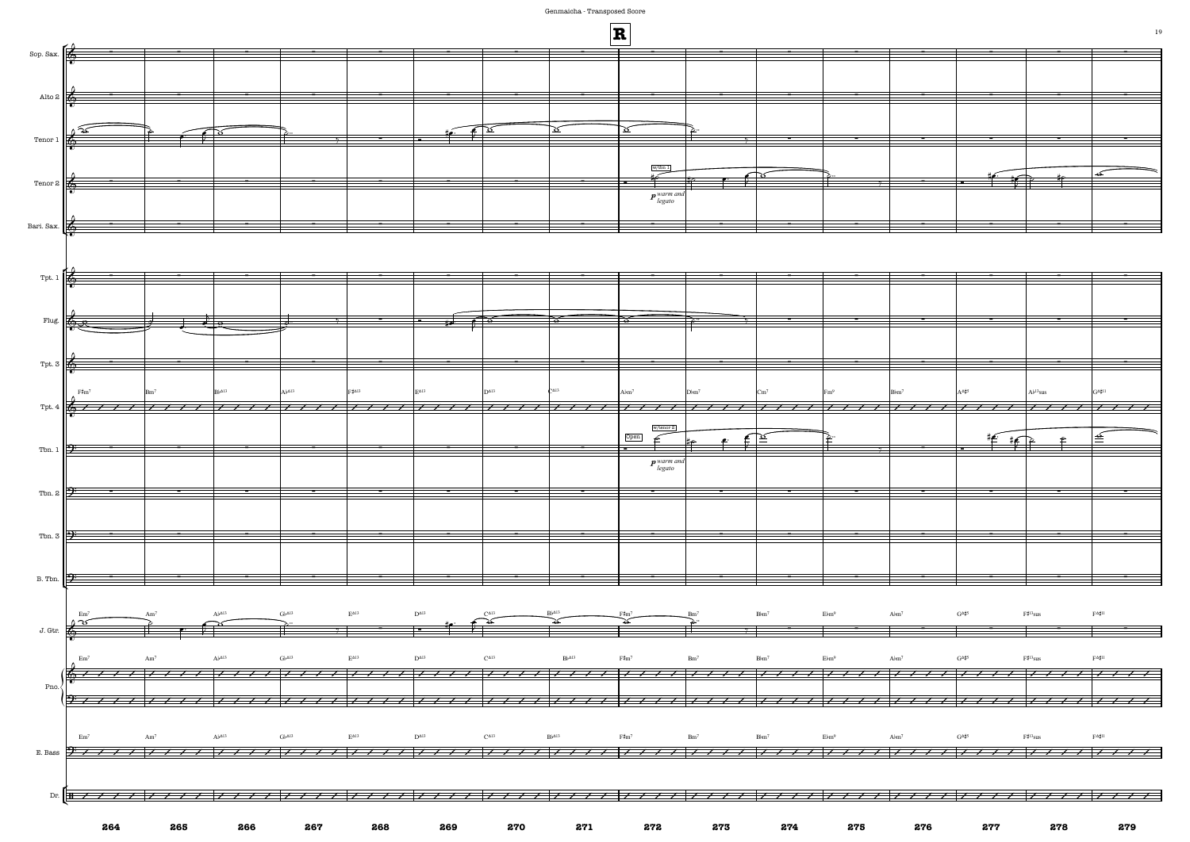| -            |                          | - | -            |
|--------------|--------------------------|---|--------------|
|              | -                        |   |              |
|              |                          |   |              |
|              |                          |   |              |
|              |                          |   |              |
|              |                          |   |              |
|              |                          |   |              |
|              |                          |   |              |
|              |                          |   |              |
|              |                          |   |              |
|              |                          |   |              |
|              |                          |   |              |
|              |                          |   |              |
|              |                          |   |              |
|              |                          |   |              |
|              |                          |   |              |
|              |                          |   |              |
|              |                          |   |              |
|              |                          |   |              |
|              |                          |   |              |
|              |                          |   |              |
|              |                          |   |              |
|              |                          |   |              |
|              |                          |   |              |
| $\mathbf{r}$ | $\overline{\phantom{a}}$ |   | $\mathbf{r}$ |
|              |                          | - |              |
|              |                          |   |              |
|              |                          |   |              |
|              |                          |   |              |
|              |                          |   |              |
|              |                          |   |              |
|              |                          |   |              |
|              |                          |   |              |
|              |                          |   |              |
|              |                          |   |              |
|              |                          |   |              |
|              |                          |   |              |
|              |                          |   |              |
|              |                          |   |              |
|              |                          |   |              |
|              |                          |   |              |
|              |                          |   |              |
|              |                          |   |              |
|              |                          |   |              |
|              | ۰.                       |   | ఈ            |
|              | π.                       |   |              |
| -            | #                        | ₩ |              |
|              | m<br>-                   |   |              |
|              |                          |   |              |
|              |                          |   |              |
|              |                          |   |              |
|              |                          |   |              |
|              |                          |   |              |
|              |                          |   |              |
|              |                          |   |              |
|              |                          |   |              |
|              |                          |   |              |
|              |                          |   |              |
|              |                          |   |              |
|              |                          |   |              |
|              |                          |   |              |
|              |                          |   |              |
|              |                          |   |              |
|              |                          |   |              |
|              |                          |   |              |
|              |                          |   |              |
|              |                          |   |              |
|              |                          |   |              |
|              |                          |   |              |
| -            |                          |   | ▬            |

![](_page_18_Figure_1.jpeg)

|  | ////////////////// |
|--|--------------------|
|  |                    |

|                | $G^{\Delta\sharp 5}$ |  | $F#^{13} sus$ |  | $\mathrm{F}^{\Delta\sharp 11}$ |  |  |
|----------------|----------------------|--|---------------|--|--------------------------------|--|--|
| m <sup>7</sup> |                      |  |               |  |                                |  |  |
|                |                      |  |               |  |                                |  |  |

| -            |                      |                                                      |                       |
|--------------|----------------------|------------------------------------------------------|-----------------------|
|              |                      |                                                      |                       |
|              |                      |                                                      |                       |
| .,           |                      |                                                      |                       |
|              |                      |                                                      |                       |
| $n^7$        | $A^{\Delta\sharp 5}$ | $\mathbf{A}\flat^{13}\mathbf{s}\mathbf{u}\mathbf{s}$ | $G^{\Delta\sharp 11}$ |
| $\mathbf{r}$ |                      |                                                      |                       |
| ◢            | -7                   | ◢                                                    |                       |
| ۰.           | $\frac{1}{2}$        | €<br>∣ ≧                                             | $\leq$                |
|              | $\equiv$             |                                                      |                       |
|              |                      |                                                      |                       |
|              |                      |                                                      |                       |
| ۰.           | -                    | -                                                    | -                     |
|              |                      |                                                      |                       |
|              |                      |                                                      |                       |
|              |                      |                                                      |                       |
|              |                      |                                                      |                       |
|              |                      |                                                      |                       |
|              |                      |                                                      |                       |

![](_page_18_Figure_0.jpeg)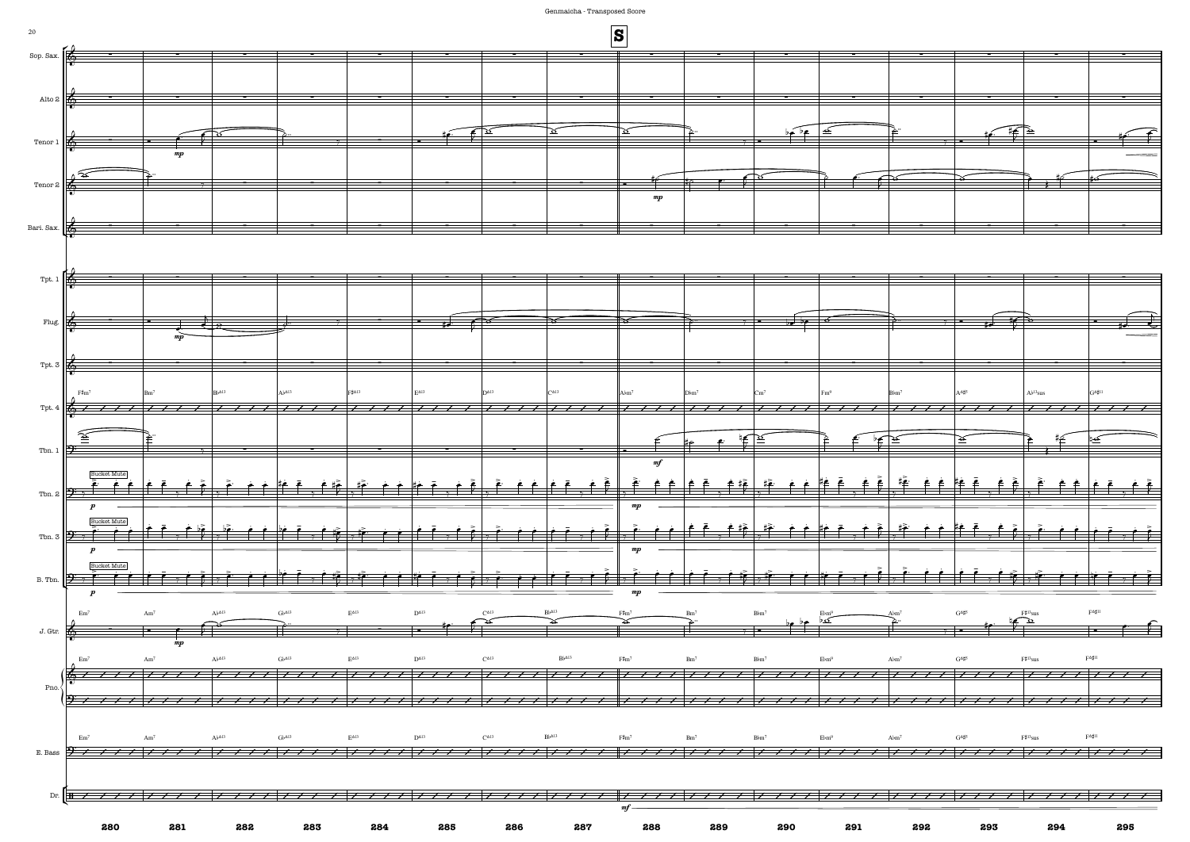![](_page_19_Figure_1.jpeg)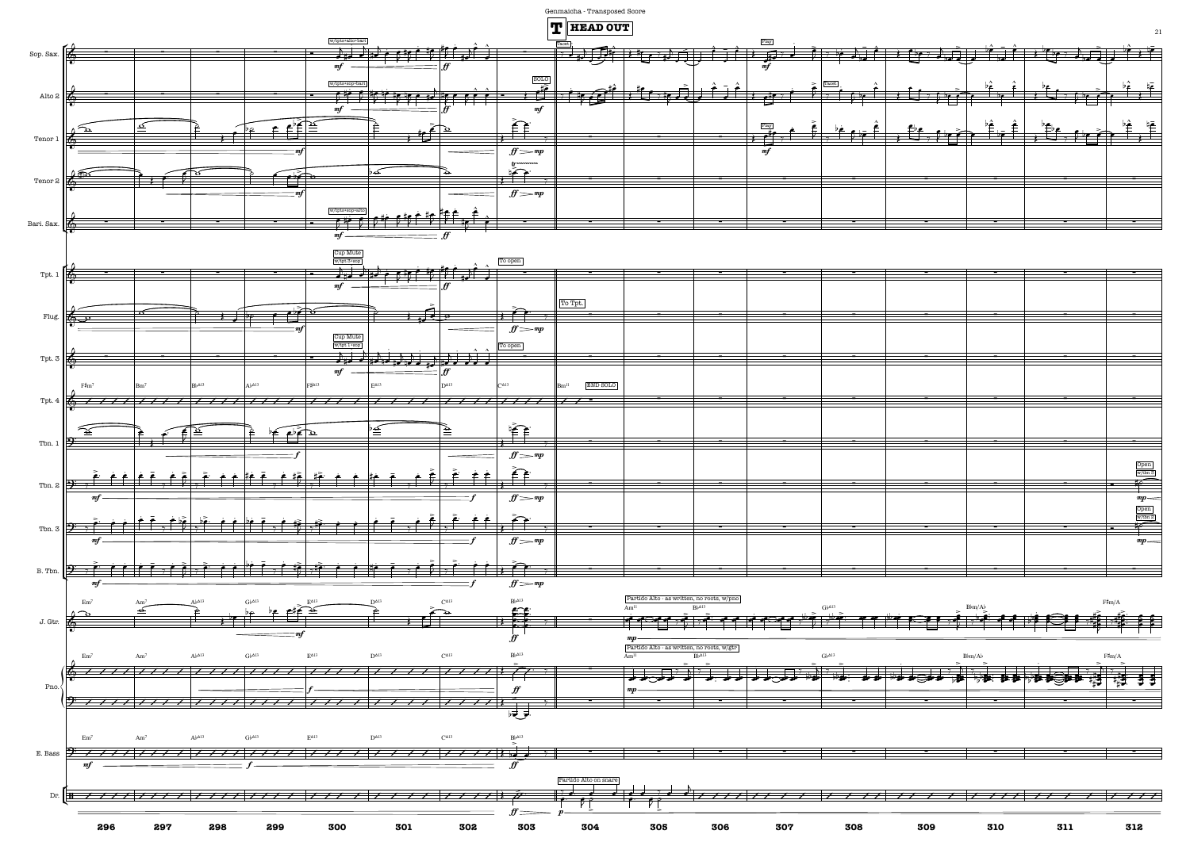![](_page_20_Figure_0.jpeg)

|   |   |   | ÷                               |
|---|---|---|---------------------------------|
|   |   |   |                                 |
|   |   |   |                                 |
|   |   |   |                                 |
|   |   |   |                                 |
|   |   |   |                                 |
|   |   |   |                                 |
|   |   |   |                                 |
|   |   |   |                                 |
|   |   |   |                                 |
|   |   |   |                                 |
|   |   |   |                                 |
|   |   |   |                                 |
|   |   |   |                                 |
|   |   |   |                                 |
|   |   |   |                                 |
|   |   |   |                                 |
|   |   |   |                                 |
|   |   |   |                                 |
|   |   |   |                                 |
|   |   |   |                                 |
|   |   |   |                                 |
|   |   |   |                                 |
|   |   |   |                                 |
|   |   |   |                                 |
|   | ۰ | ۰ | -                               |
|   |   |   |                                 |
|   |   |   |                                 |
|   |   |   |                                 |
|   |   |   |                                 |
|   |   |   |                                 |
|   |   |   |                                 |
|   |   |   |                                 |
|   |   |   |                                 |
|   |   |   |                                 |
|   |   |   |                                 |
|   |   |   |                                 |
|   |   |   |                                 |
|   |   |   |                                 |
|   | ▬ | Ξ | Ξ                               |
|   |   |   |                                 |
|   |   |   |                                 |
|   |   |   |                                 |
|   |   |   |                                 |
|   |   |   |                                 |
|   |   |   |                                 |
|   |   |   | Open                            |
|   |   |   |                                 |
|   |   |   | $\sqrt{\frac{w}{\text{tbn 3}}}$ |
|   |   |   |                                 |
| w | - | ÷ |                                 |
|   |   |   | Ξ                               |
|   |   |   | ₽                               |
|   |   |   |                                 |
|   |   |   |                                 |
|   |   |   |                                 |
|   |   |   | $mp-$                           |
|   |   |   |                                 |
|   |   |   |                                 |
|   |   |   | Open                            |
|   |   |   |                                 |
|   |   |   | $w/tbn$ 2                       |
|   |   |   |                                 |
|   | ۰ |   | -                               |
|   |   |   | ŧp                              |
|   |   |   |                                 |
|   |   |   |                                 |
|   |   |   |                                 |
|   |   |   |                                 |
|   |   |   | $mp \equiv$                     |
|   |   |   |                                 |
|   |   |   |                                 |
|   |   |   |                                 |
|   |   |   |                                 |
|   |   |   |                                 |
| - |   |   |                                 |
|   |   |   |                                 |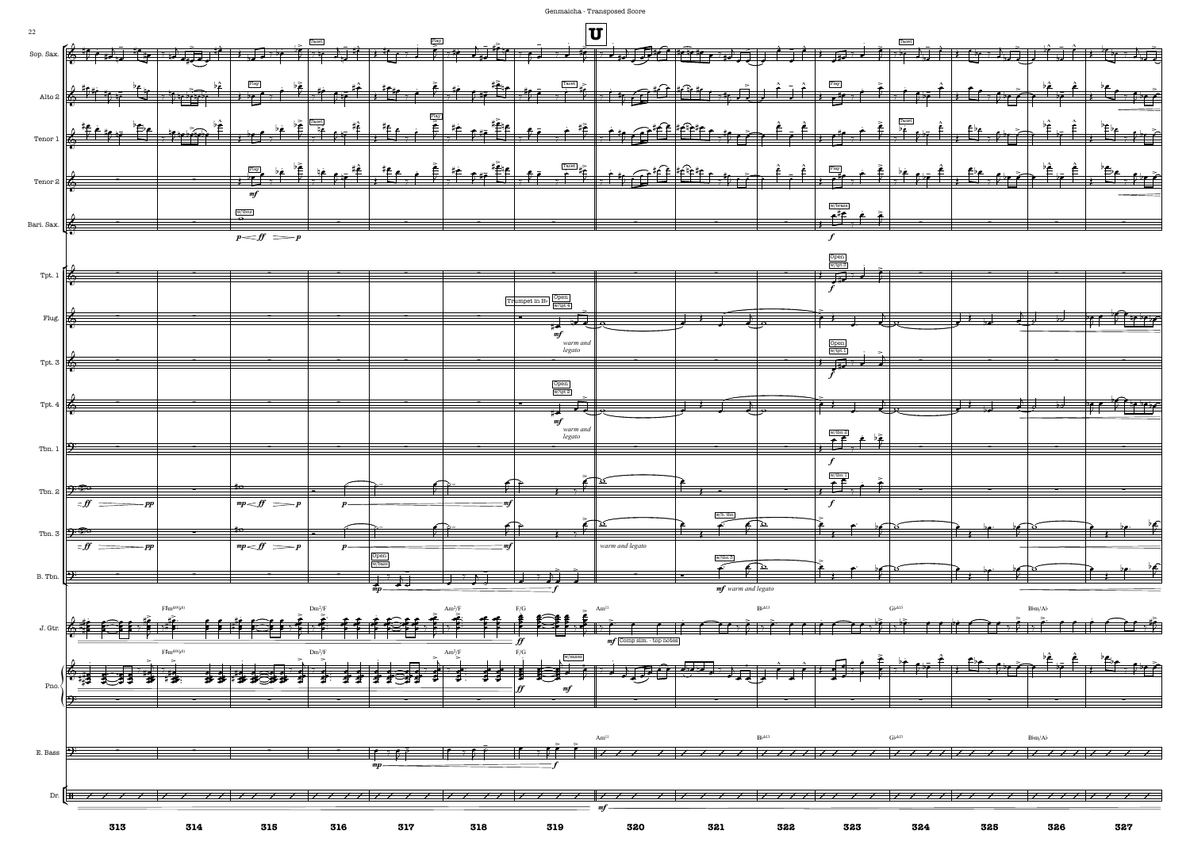![](_page_21_Figure_1.jpeg)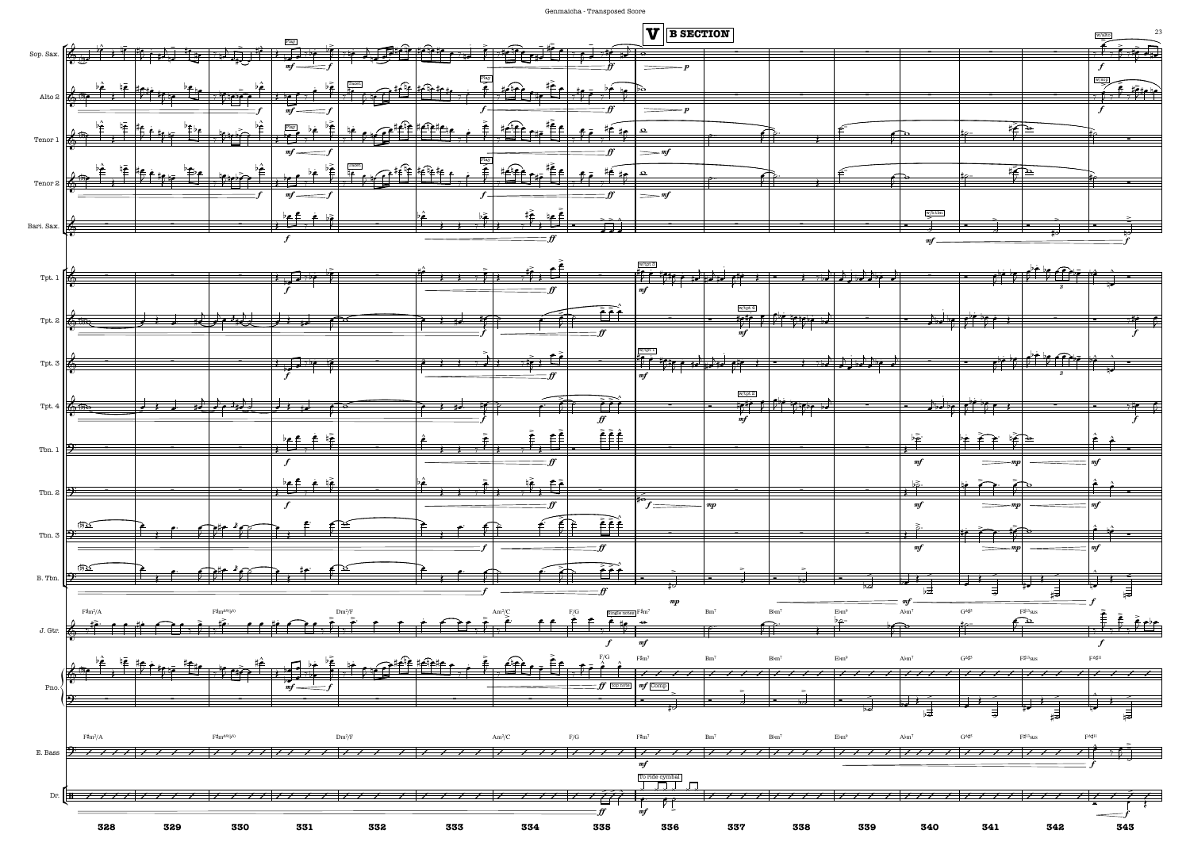![](_page_22_Figure_1.jpeg)